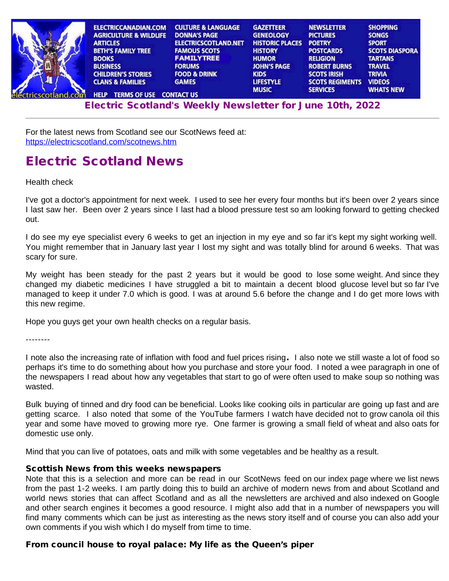| ELECTRICCANADIAN.COM<br><b>AGRICULTURE &amp; WILDLIFE</b><br><b>ARTICLES</b><br><b>BETH'S FAMILY TREE</b><br><b>BOOKS</b><br><b>BUSINESS</b> | <b>CULTURE &amp; LANGUAGE</b><br><b>DONNA'S PAGE</b><br><b>ELECTRICSCOTLAND.NET</b><br><b>FAMOUS SCOTS</b><br><b>FAMILYTREE</b><br><b>FORUMS</b> | <b>GAZETTEER</b><br><b>GENEOLOGY</b><br><b>HISTORIC PLACES</b><br><b>HISTORY</b><br><b>HUMOR</b><br><b>JOHN'S PAGE</b> | <b>NEWSLETTER</b><br><b>PICTURES</b><br><b>POETRY</b><br><b>POSTCARDS</b><br><b>RELIGION</b><br><b>ROBERT BURNS</b> | <b>SHOPPING</b><br><b>SONGS</b><br><b>SPORT</b><br><b>SCOTS DIASPORA</b><br><b>TARTANS</b><br><b>TRAVEL</b> |
|----------------------------------------------------------------------------------------------------------------------------------------------|--------------------------------------------------------------------------------------------------------------------------------------------------|------------------------------------------------------------------------------------------------------------------------|---------------------------------------------------------------------------------------------------------------------|-------------------------------------------------------------------------------------------------------------|
| <b>CHILDREN'S STORIES</b><br><b>CLANS &amp; FAMILIES</b>                                                                                     | <b>FOOD &amp; DRINK</b><br><b>GAMES</b>                                                                                                          | <b>KIDS</b><br><b>LIFESTYLE</b><br><b>MUSIC</b>                                                                        | <b>SCOTS IRISH</b><br><b>SCOTS REGIMENTS</b><br><b>SERVICES</b>                                                     | <b>TRIVIA</b><br><b>VIDEOS</b><br><b>WHATS NEW</b>                                                          |
| <b>TERMS OF USE CONTACT US</b><br><b>HELP</b>                                                                                                |                                                                                                                                                  |                                                                                                                        |                                                                                                                     |                                                                                                             |

[Electr](http://www.electricscotland.org/help/)[ic Scotlan](http://www.electricscotland.com/ester.htm)[d's Weekly Newsle](http://www.electricscotland.com/contact.htm)[tter for J](http://www.electricscotland.com/music/index.htm)[une 10th, 20](http://www.electricscotland.com/services/index.htm)[22](http://www.electricscotland.com/whatsnew.htm)

For the latest news from Scotland see our ScotNews feed at: <https://electricscotland.com/scotnews.htm>

## Electric Scotland News

Health check

I've got a doctor's appointment for next week. I used to see her every four months but it's been over 2 years since I last saw her. Been over 2 years since I last had a blood pressure test so am looking forward to getting checked out.

I do see my eye specialist every 6 weeks to get an injection in my eye and so far it's kept my sight working well. You might remember that in January last year I lost my sight and was totally blind for around 6 weeks. That was scary for sure.

My weight has been steady for the past 2 years but it would be good to lose some weight. And since they changed my diabetic medicines I have struggled a bit to maintain a decent blood glucose level but so far I've managed to keep it under 7.0 which is good. I was at around 5.6 before the change and I do get more lows with this new regime.

Hope you guys get your own health checks on a regular basis.

--------

I note also the increasing rate of inflation with food and fuel prices rising. I also note we still waste a lot of food so perhaps it's time to do something about how you purchase and store your food. I noted a wee paragraph in one of the newspapers I read about how any vegetables that start to go of were often used to make soup so nothing was wasted.

Bulk buying of tinned and dry food can be beneficial. Looks like cooking oils in particular are going up fast and are getting scarce. I also noted that some of the YouTube farmers I watch have decided not to grow canola oil this year and some have moved to growing more rye. One farmer is growing a small field of wheat and also oats for domestic use only.

Mind that you can live of potatoes, oats and milk with some vegetables and be healthy as a result.

### Scottish News from this weeks newspapers

Note that this is a selection and more can be read in our ScotNews feed on our index page where we list news from the past 1-2 weeks. I am partly doing this to build an archive of modern news from and about Scotland and world news stories that can affect Scotland and as all the newsletters are archived and also indexed on Google and other search engines it becomes a good resource. I might also add that in a number of newspapers you will find many comments which can be just as interesting as the news story itself and of course you can also add your own comments if you wish which I do myself from time to time.

## From council house to royal palace: My life as the Queen's piper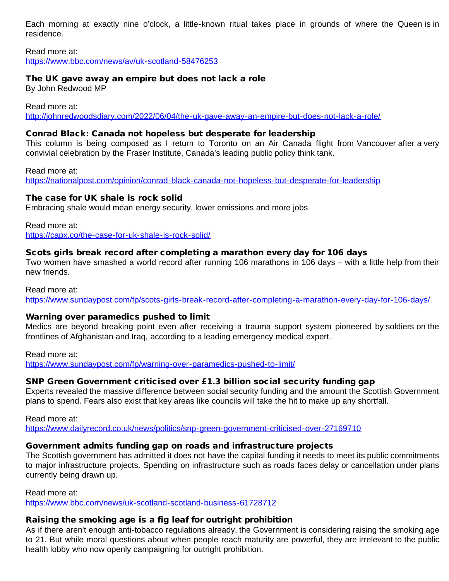Each morning at exactly nine o'clock, a little-known ritual takes place in grounds of where the Queen is in residence.

Read more at: <https://www.bbc.com/news/av/uk-scotland-58476253>

## The UK gave away an empire but does not lack a role

By John Redwood MP

Read more at:

<http://johnredwoodsdiary.com/2022/06/04/the-uk-gave-away-an-empire-but-does-not-lack-a-role/>

## Conrad Black: Canada not hopeless but desperate for leadership

This column is being composed as I return to Toronto on an Air Canada flight from Vancouver after a very convivial celebration by the Fraser Institute, Canada's leading public policy think tank.

Read more at: <https://nationalpost.com/opinion/conrad-black-canada-not-hopeless-but-desperate-for-leadership>

## The case for UK shale is rock solid

Embracing shale would mean energy security, lower emissions and more jobs

Read more at: <https://capx.co/the-case-for-uk-shale-is-rock-solid/>

## Scots girls break record after completing a marathon every day for 106 days

Two women have smashed a world record after running 106 marathons in 106 days – with a little help from their new friends.

#### Read more at:

<https://www.sundaypost.com/fp/scots-girls-break-record-after-completing-a-marathon-every-day-for-106-days/>

## Warning over paramedics pushed to limit

Medics are beyond breaking point even after receiving a trauma support system pioneered by soldiers on the frontlines of Afghanistan and Iraq, according to a leading emergency medical expert.

Read more at: <https://www.sundaypost.com/fp/warning-over-paramedics-pushed-to-limit/>

## SNP Green Government criticised over £1.3 billion social security funding gap

Experts revealed the massive difference between social security funding and the amount the Scottish Government plans to spend. Fears also exist that key areas like councils will take the hit to make up any shortfall.

Read more at: <https://www.dailyrecord.co.uk/news/politics/snp-green-government-criticised-over-27169710>

## Government admits funding gap on roads and infrastructure projects

The Scottish government has admitted it does not have the capital funding it needs to meet its public commitments to major infrastructure projects. Spending on infrastructure such as roads faces delay or cancellation under plans currently being drawn up.

#### Read more at:

<https://www.bbc.com/news/uk-scotland-scotland-business-61728712>

## Raising the smoking age is a fig leaf for outright prohibition

As if there aren't enough anti-tobacco regulations already, the Government is considering raising the smoking age to 21. But while moral questions about when people reach maturity are powerful, they are irrelevant to the public health lobby who now openly campaigning for outright prohibition.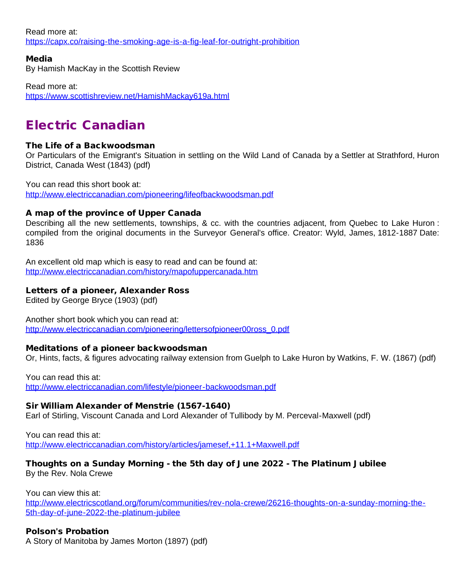Read more at: <https://capx.co/raising-the-smoking-age-is-a-fig-leaf-for-outright-prohibition>

Media

By Hamish MacKay in the Scottish Review

Read more at: <https://www.scottishreview.net/HamishMackay619a.html>

# Electric Canadian

## The Life of a Backwoodsman

Or Particulars of the Emigrant's Situation in settling on the Wild Land of Canada by a Settler at Strathford, Huron District, Canada West (1843) (pdf)

You can read this short book at: <http://www.electriccanadian.com/pioneering/lifeofbackwoodsman.pdf>

## A map of the province of Upper Canada

Describing all the new settlements, townships, & cc. with the countries adjacent, from Quebec to Lake Huron : compiled from the original documents in the Surveyor General's office. Creator: Wyld, James, 1812-1887 Date: 1836

An excellent old map which is easy to read and can be found at: <http://www.electriccanadian.com/history/mapofuppercanada.htm>

## Letters of a pioneer, Alexander Ross

Edited by George Bryce (1903) (pdf)

Another short book which you can read at: [http://www.electriccanadian.com/pioneering/lettersofpioneer00ross\\_0.pdf](http://www.electriccanadian.com/pioneering/lettersofpioneer00ross_0.pdf)

## Meditations of a pioneer backwoodsman

Or, Hints, facts, & figures advocating railway extension from Guelph to Lake Huron by Watkins, F. W. (1867) (pdf)

You can read this at: <http://www.electriccanadian.com/lifestyle/pioneer-backwoodsman.pdf>

## Sir William Alexander of Menstrie (1567-1640)

Earl of Stirling, Viscount Canada and Lord Alexander of Tullibody by M. Perceval-Maxwell (pdf)

You can read this at: <http://www.electriccanadian.com/history/articles/jamesef,+11.1+Maxwell.pdf>

#### Thoughts on a Sunday Morning - the 5th day of June 2022 - The Platinum Jubilee By the Rev. Nola Crewe

You can view this at:

[http://www.electricscotland.org/forum/communities/rev-nola-crewe/26216-thoughts-on-a-sunday-morning-the-](http://www.electricscotland.org/forum/communities/rev-nola-crewe/26216-thoughts-on-a-sunday-morning-the-5th-day-of-june-2022-the-platinum-jubilee)[5th-day-of-june-2022-the-platinum-jubilee](http://www.electricscotland.org/forum/communities/rev-nola-crewe/26216-thoughts-on-a-sunday-morning-the-5th-day-of-june-2022-the-platinum-jubilee)

## Polson's Probation

A Story of Manitoba by James Morton (1897) (pdf)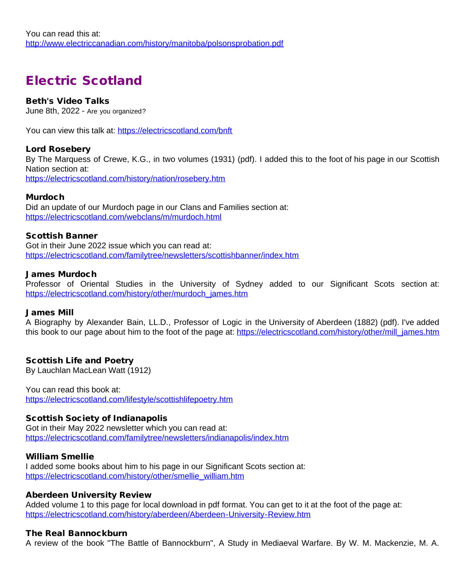# Electric Scotland

### Beth's Video Talks

June 8th, 2022 - Are you organized?

You can view this talk at: <https://electricscotland.com/bnft>

#### Lord Rosebery

By The Marquess of Crewe, K.G., in two volumes (1931) (pdf). I added this to the foot of his page in our Scottish Nation section at: <https://electricscotland.com/history/nation/rosebery.htm>

#### Murdoch

Did an update of our Murdoch page in our Clans and Families section at: <https://electricscotland.com/webclans/m/murdoch.html>

#### Scottish Banner

Got in their June 2022 issue which you can read at: <https://electricscotland.com/familytree/newsletters/scottishbanner/index.htm>

#### James Murdoch

Professor of Oriental Studies in the University of Sydney added to our Significant Scots section at: [https://electricscotland.com/history/other/murdoch\\_james.htm](https://electricscotland.com/history/other/murdoch_james.htm)

#### James Mill

A Biography by Alexander Bain, LL.D., Professor of Logic in the University of Aberdeen (1882) (pdf). I've added this book to our page about him to the foot of the page at: [https://electricscotland.com/history/other/mill\\_james.htm](https://electricscotland.com/history/other/mill_james.htm)

#### Scottish Life and Poetry

By Lauchlan MacLean Watt (1912)

You can read this book at: <https://electricscotland.com/lifestyle/scottishlifepoetry.htm>

#### Scottish Society of Indianapolis

Got in their May 2022 newsletter which you can read at: <https://electricscotland.com/familytree/newsletters/indianapolis/index.htm>

#### William Smellie

I added some books about him to his page in our Significant Scots section at: [https://electricscotland.com/history/other/smellie\\_william.htm](https://electricscotland.com/history/other/smellie_william.htm)

#### Aberdeen University Review

Added volume 1 to this page for local download in pdf format. You can get to it at the foot of the page at: <https://electricscotland.com/history/aberdeen/Aberdeen-University-Review.htm>

#### The Real Bannockburn

A review of the book "The Battle of Bannockburn", A Study in Mediaeval Warfare. By W. M. Mackenzie, M. A.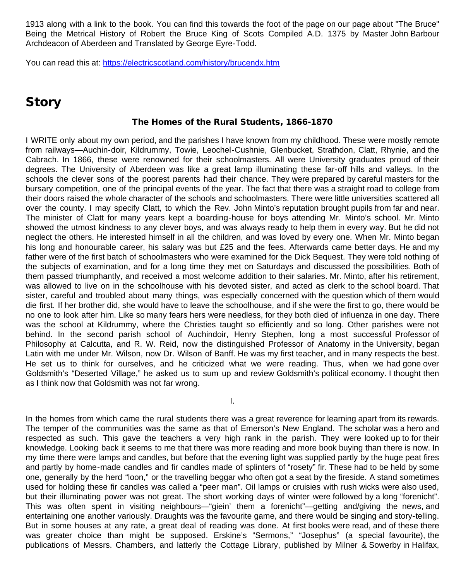1913 along with a link to the book. You can find this towards the foot of the page on our page about "The Bruce" Being the Metrical History of Robert the Bruce King of Scots Compiled A.D. 1375 by Master John Barbour Archdeacon of Aberdeen and Translated by George Eyre-Todd.

You can read this at:<https://electricscotland.com/history/brucendx.htm>

## **Story**

#### The Homes of the Rural Students, 1866-1870

I WRITE only about my own period, and the parishes I have known from my childhood. These were mostly remote from railways—Auchin-doir, Kildrummy, Towie, Leochel-Cushnie, Glenbucket, Strathdon, Clatt, Rhynie, and the Cabrach. In 1866, these were renowned for their schoolmasters. All were University graduates proud of their degrees. The University of Aberdeen was like a great lamp illuminating these far-off hills and valleys. In the schools the clever sons of the poorest parents had their chance. They were prepared by careful masters for the bursary competition, one of the principal events of the year. The fact that there was a straight road to college from their doors raised the whole character of the schools and schoolmasters. There were little universities scattered all over the county. I may specify Clatt, to which the Rev. John Minto's reputation brought pupils from far and near. The minister of Clatt for many years kept a boarding-house for boys attending Mr. Minto's school. Mr. Minto showed the utmost kindness to any clever boys, and was always ready to help them in every way. But he did not neglect the others. He interested himself in all the children, and was loved by every one. When Mr. Minto began his long and honourable career, his salary was but £25 and the fees. Afterwards came better days. He and my father were of the first batch of schoolmasters who were examined for the Dick Bequest. They were told nothing of the subjects of examination, and for a long time they met on Saturdays and discussed the possibilities. Both of them passed triumphantly, and received a most welcome addition to their salaries. Mr. Minto, after his retirement, was allowed to live on in the schoolhouse with his devoted sister, and acted as clerk to the school board. That sister, careful and troubled about many things, was especially concerned with the question which of them would die first. If her brother did, she would have to leave the schoolhouse, and if she were the first to go, there would be no one to look after him. Like so many fears hers were needless, for they both died of influenza in one day. There was the school at Kildrummy, where the Christies taught so efficiently and so long. Other parishes were not behind. In the second parish school of Auchindoir, Henry Stephen, long a most successful Professor of Philosophy at Calcutta, and R. W. Reid, now the distinguished Professor of Anatomy in the University, began Latin with me under Mr. Wilson, now Dr. Wilson of Banff. He was my first teacher, and in many respects the best. He set us to think for ourselves, and he criticized what we were reading. Thus, when we had gone over Goldsmith's "Deserted Village," he asked us to sum up and review Goldsmith's political economy. I thought then as I think now that Goldsmith was not far wrong.

I.

In the homes from which came the rural students there was a great reverence for learning apart from its rewards. The temper of the communities was the same as that of Emerson's New England. The scholar was a hero and respected as such. This gave the teachers a very high rank in the parish. They were looked up to for their knowledge. Looking back it seems to me that there was more reading and more book buying than there is now. In my time there were lamps and candles, but before that the evening light was supplied partly by the huge peat fires and partly by home-made candles and fir candles made of splinters of "rosety" fir. These had to be held by some one, generally by the herd "loon," or the travelling beggar who often got a seat by the fireside. A stand sometimes used for holding these fir candles was called a "peer man". Oil lamps or cruisies with rush wicks were also used, but their illuminating power was not great. The short working days of winter were followed by a long "forenicht". This was often spent in visiting neighbours—"giein' them a forenicht"—getting and/giving the news, and entertaining one another variously. Draughts was the favourite game, and there would be singing and story-telling. But in some houses at any rate, a great deal of reading was done. At first books were read, and of these there was greater choice than might be supposed. Erskine's "Sermons," "Josephus" (a special favourite), the publications of Messrs. Chambers, and latterly the Cottage Library, published by Milner & Sowerby in Halifax,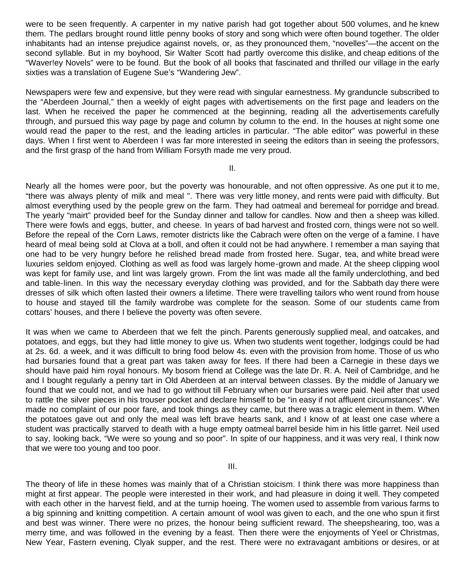were to be seen frequently. A carpenter in my native parish had got together about 500 volumes, and he knew them. The pedlars brought round little penny books of story and song which were often bound together. The older inhabitants had an intense prejudice against novels, or, as they pronounced them, "novelles"—the accent on the second syllable. But in my boyhood, Sir Walter Scott had partly overcome this dislike, and cheap editions of the "Waver!ey Novels" were to be found. But the book of all books that fascinated and thrilled our village in the early sixties was a translation of Eugene Sue's "Wandering Jew".

Newspapers were few and expensive, but they were read with singular earnestness. My granduncle subscribed to the "Aberdeen Journal," then a weekly of eight pages with advertisements on the first page and leaders on the last. When he received the paper he commenced at the beginning, reading all the advertisements carefully through, and pursued this way page by page and column by column to the end. In the houses at night some one would read the paper to the rest, and the leading articles in particular. "The able editor" was powerful in these days. When I first went to Aberdeen I was far more interested in seeing the editors than in seeing the professors, and the first grasp of the hand from William Forsyth made me very proud.

II.

Nearly all the homes were poor, but the poverty was honourable, and not often oppressive. As one put it to me, "there was always plenty of milk and meal ". There was very little money, and rents were paid with difficulty. But almost everything used by the people grew on the farm. They had oatmeal and beremeal for porridge and bread. The yearly "mairt" provided beef for the Sunday dinner and tallow for candles. Now and then a sheep was killed. There were fowls and eggs, butter, and cheese. In years of bad harvest and frosted corn, things were not so well. Before the repeal of the Corn Laws, remoter districts like the Cabrach were often on the verge of a famine. I have heard of meal being sold at Clova at a boll, and often it could not be had anywhere. I remember a man saying that one had to be very hungry before he relished bread made from frosted here. Sugar, tea, and white bread were luxuries seldom enjoyed. Clothing as well as food was largely home-grown and made. At the sheep clipping wool was kept for family use, and lint was largely grown. From the lint was made all the family underclothing, and bed and table-linen. In this way the necessary everyday clothing was provided, and for the Sabbath day there were dresses of silk which often lasted their owners a lifetime. There were travelling tailors who went round from house to house and stayed till the family wardrobe was complete for the season. Some of our students came from cottars' houses, and there I believe the poverty was often severe.

It was when we came to Aberdeen that we felt the pinch. Parents generously supplied meal, and oatcakes, and potatoes, and eggs, but they had little money to give us. When two students went together, lodgings could be had at 2s. 6d. a week, and it was difficult to bring food below 4s. even with the provision from home. Those of us who had bursaries found that a great part was taken away for fees. If there had been a Carnegie in these days we should have paid him royal honours. My bosom friend at College was the late Dr. R. A. Neil of Cambridge, and he and I bought regularly a penny tart in Old Aberdeen at an interval between classes. By the middle of January we found that we could not, and we had to go without till February when our bursaries were paid. Neil after that used to rattle the silver pieces in his trouser pocket and declare himself to be "in easy if not affluent circumstances". We made no complaint of our poor fare, and took things as they came, but there was a tragic element in them. When the potatoes gave out and only the meal was left brave hearts sank, and I know of at least one case where a student was practically starved to death with a huge empty oatmeal barrel beside him in his little garret. Neil used to say, looking back, "We were so young and so poor". In spite of our happiness, and it was very real, I think now that we were too young and too poor.

III.

The theory of life in these homes was mainly that of a Christian stoicism. I think there was more happiness than might at first appear. The people were interested in their work, and had pleasure in doing it well. They competed with each other in the harvest field, and at the turnip hoeing. The women used to assemble from various farms to a big spinning and knitting competition. A certain amount of wool was given to each, and the one who spun it first and best was winner. There were no prizes, the honour being sufficient reward. The sheepshearing, too, was a merry time, and was followed in the evening by a feast. Then there were the enjoyments of Yeel or Christmas, New Year, Fastern evening, Clyak supper, and the rest. There were no extravagant ambitions or desires, or at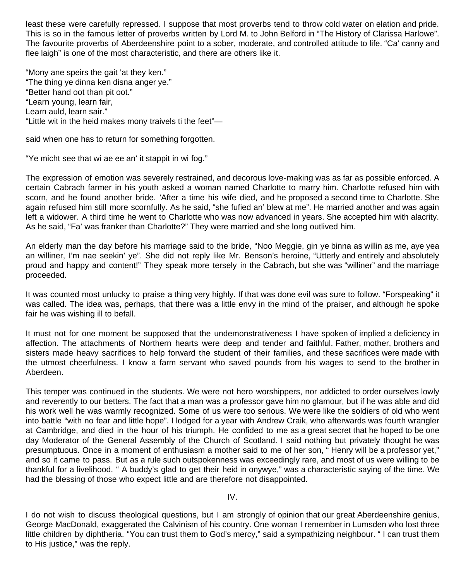least these were carefully repressed. I suppose that most proverbs tend to throw cold water on elation and pride. This is so in the famous letter of proverbs written by Lord M. to John Belford in "The History of Clarissa Harlowe". The favourite proverbs of Aberdeenshire point to a sober, moderate, and controlled attitude to life. "Ca' canny and flee laigh" is one of the most characteristic, and there are others like it.

"Mony ane speirs the gait 'at they ken." "The thing ye dinna ken disna anger ye." "Better hand oot than pit oot." "Learn young, learn fair, Learn auld, learn sair." "Little wit in the heid makes mony traivels ti the feet"—

said when one has to return for something forgotten.

"Ye micht see that wi ae ee an' it stappit in wi fog."

The expression of emotion was severely restrained, and decorous love-making was as far as possible enforced. A certain Cabrach farmer in his youth asked a woman named Charlotte to marry him. Charlotte refused him with scorn, and he found another bride. 'After a time his wife died, and he proposed a second time to Charlotte. She again refused him still more scornfully. As he said, "she fufied an' blew at me". He married another and was again left a widower. A third time he went to Charlotte who was now advanced in years. She accepted him with alacrity. As he said, "Fa' was franker than Charlotte?" They were married and she long outlived him.

An elderly man the day before his marriage said to the bride, "Noo Meggie, gin ye binna as willin as me, aye yea an williner, I'm nae seekin' ye". She did not reply like Mr. Benson's heroine, "Utterly and entirely and absolutely proud and happy and content!" They speak more tersely in the Cabrach, but she was "williner" and the marriage proceeded.

It was counted most unlucky to praise a thing very highly. If that was done evil was sure to follow. "Forspeaking" it was called. The idea was, perhaps, that there was a little envy in the mind of the praiser, and although he spoke fair he was wishing ill to befall.

It must not for one moment be supposed that the undemonstrativeness I have spoken of implied a deficiency in affection. The attachments of Northern hearts were deep and tender and faithful. Father, mother, brothers and sisters made heavy sacrifices to help forward the student of their families, and these sacrifices were made with the utmost cheerfulness. I know a farm servant who saved pounds from his wages to send to the brother in Aberdeen.

This temper was continued in the students. We were not hero worshippers, nor addicted to order ourselves lowly and reverently to our betters. The fact that a man was a professor gave him no glamour, but if he was able and did his work well he was warmly recognized. Some of us were too serious. We were like the soldiers of old who went into battle "with no fear and little hope". I lodged for a year with Andrew Craik, who afterwards was fourth wrangler at Cambridge, and died in the hour of his triumph. He confided to me as a great secret that he hoped to be one day Moderator of the General Assembly of the Church of Scotland. I said nothing but privately thought he was presumptuous. Once in a moment of enthusiasm a mother said to me of her son, " Henry will be a professor yet," and so it came to pass. But as a rule such outspokenness was exceedingly rare, and most of us were willing to be thankful for a livelihood. " A buddy's glad to get their heid in onywye," was a characteristic saying of the time. We had the blessing of those who expect little and are therefore not disappointed.

IV.

I do not wish to discuss theological questions, but I am strongly of opinion that our great Aberdeenshire genius, George MacDonald, exaggerated the Calvinism of his country. One woman I remember in Lumsden who lost three little children by diphtheria. "You can trust them to God's mercy," said a sympathizing neighbour. " I can trust them to His justice," was the reply.